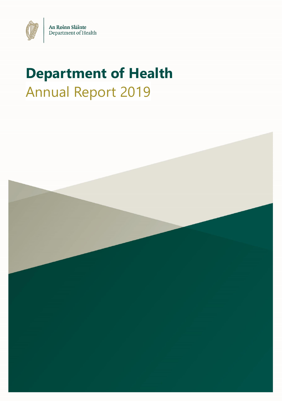

# **Department of Health** Annual Report 2019

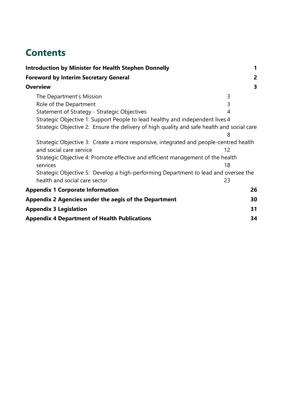## **Contents**

| <b>Introduction by Minister for Health Stephen Donnelly</b>                                | 1                 |  |  |
|--------------------------------------------------------------------------------------------|-------------------|--|--|
| <b>Foreword by Interim Secretary General</b>                                               | 2                 |  |  |
| <b>Overview</b>                                                                            | 3                 |  |  |
| The Department's Mission                                                                   | 3                 |  |  |
| Role of the Department                                                                     | 3                 |  |  |
| Statement of Strategy - Strategic Objectives                                               | 4                 |  |  |
| Strategic Objective 1: Support People to lead healthy and independent lives 4              |                   |  |  |
| Strategic Objective 2: Ensure the delivery of high quality and safe health and social care |                   |  |  |
|                                                                                            | 8                 |  |  |
| Strategic Objective 3: Create a more responsive, integrated and people-centred health      |                   |  |  |
| and social care service                                                                    | $12 \overline{ }$ |  |  |
| Strategic Objective 4: Promote effective and efficient management of the health            |                   |  |  |
| services                                                                                   | 18                |  |  |
| Strategic Objective 5: Develop a high-performing Department to lead and oversee the        |                   |  |  |
| health and social care sector                                                              | 23                |  |  |
| <b>Appendix 1 Corporate Information</b>                                                    | 26                |  |  |
| Appendix 2 Agencies under the aegis of the Department                                      | 30                |  |  |
| <b>Appendix 3 Legislation</b>                                                              | 31                |  |  |
| <b>Appendix 4 Department of Health Publications</b>                                        | 34                |  |  |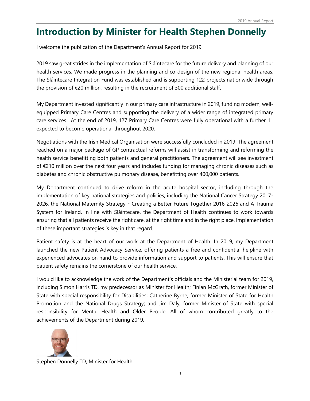## **Introduction by Minister for Health Stephen Donnelly**

<span id="page-2-0"></span>I welcome the publication of the Department's Annual Report for 2019.

2019 saw great strides in the implementation of Sláintecare for the future delivery and planning of our health services. We made progress in the planning and co-design of the new regional health areas. The Sláintecare Integration Fund was established and is supporting 122 projects nationwide through the provision of  $\epsilon$ 20 million, resulting in the recruitment of 300 additional staff.

My Department invested significantly in our primary care infrastructure in 2019, funding modern, wellequipped Primary Care Centres and supporting the delivery of a wider range of integrated primary care services. At the end of 2019, 127 Primary Care Centres were fully operational with a further 11 expected to become operational throughout 2020.

Negotiations with the Irish Medical Organisation were successfully concluded in 2019. The agreement reached on a major package of GP contractual reforms will assist in transforming and reforming the health service benefitting both patients and general practitioners. The agreement will see investment of €210 million over the next four years and includes funding for managing chronic diseases such as diabetes and chronic obstructive pulmonary disease, benefitting over 400,000 patients.

My Department continued to drive reform in the acute hospital sector, including through the implementation of key national strategies and policies, including the National Cancer Strategy 2017- 2026, the National Maternity Strategy – Creating a Better Future Together 2016-2026 and A Trauma System for Ireland. In line with Sláintecare, the Department of Health continues to work towards ensuring that all patients receive the right care, at the right time and in the right place. Implementation of these important strategies is key in that regard.

Patient safety is at the heart of our work at the Department of Health. In 2019, my Department launched the new Patient Advocacy Service, offering patients a free and confidential helpline with experienced advocates on hand to provide information and support to patients. This will ensure that patient safety remains the cornerstone of our health service.

I would like to acknowledge the work of the Department's officials and the Ministerial team for 2019, including Simon Harris TD, my predecessor as Minister for Health; Finian McGrath, former Minister of State with special responsibility for Disabilities; Catherine Byrne, former Minister of State for Health Promotion and the National Drugs Strategy; and Jim Daly, former Minister of State with special responsibility for Mental Health and Older People. All of whom contributed greatly to the achievements of the Department during 2019.



Stephen Donnelly TD, Minister for Health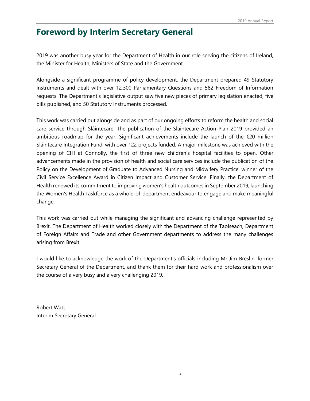## **Foreword by Interim Secretary General**

<span id="page-3-0"></span>2019 was another busy year for the Department of Health in our role serving the citizens of Ireland, the Minister for Health, Ministers of State and the Government.

Alongside a significant programme of policy development, the Department prepared 49 Statutory Instruments and dealt with over 12,300 Parliamentary Questions and 582 Freedom of Information requests. The Department's legislative output saw five new pieces of primary legislation enacted, five bills published, and 50 Statutory Instruments processed.

This work was carried out alongside and as part of our ongoing efforts to reform the health and social care service through Sláintecare. The publication of the Sláintecare Action Plan 2019 provided an ambitious roadmap for the year. Significant achievements include the launch of the  $\epsilon$ 20 million Sláintecare Integration Fund, with over 122 projects funded. A major milestone was achieved with the opening of CHI at Connolly, the first of three new children's hospital facilities to open. Other advancements made in the provision of health and social care services include the publication of the Policy on the Development of Graduate to Advanced Nursing and Midwifery Practice, winner of the Civil Service Excellence Award in Citizen Impact and Customer Service. Finally, the Department of Health renewed its commitment to improving women's health outcomes in September 2019, launching the Women's Health Taskforce as a whole-of-department endeavour to engage and make meaningful change.

This work was carried out while managing the significant and advancing challenge represented by Brexit. The Department of Health worked closely with the Department of the Taoiseach, Department of Foreign Affairs and Trade and other Government departments to address the many challenges arising from Brexit.

I would like to acknowledge the work of the Department's officials including Mr Jim Breslin, former Secretary General of the Department, and thank them for their hard work and professionalism over the course of a very busy and a very challenging 2019.

Robert Watt Interim Secretary General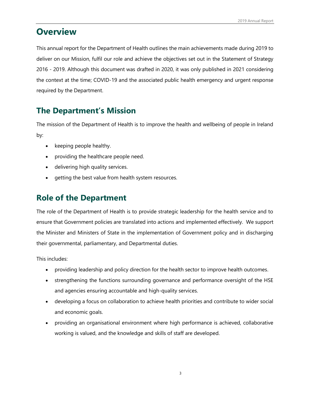## **Overview**

<span id="page-4-0"></span>This annual report for the Department of Health outlines the main achievements made during 2019 to deliver on our Mission, fulfil our role and achieve the objectives set out in the Statement of Strategy 2016 - 2019. Although this document was drafted in 2020, it was only published in 2021 considering the context at the time; COVID-19 and the associated public health emergency and urgent response required by the Department.

## **The Department's Mission**

<span id="page-4-1"></span>The mission of the Department of Health is to improve the health and wellbeing of people in Ireland by:

- keeping people healthy.
- providing the healthcare people need.
- delivering high quality services.
- getting the best value from health system resources.

## **Role of the Department**

<span id="page-4-2"></span>The role of the Department of Health is to provide strategic leadership for the health service and to ensure that Government policies are translated into actions and implemented effectively. We support the Minister and Ministers of State in the implementation of Government policy and in discharging their governmental, parliamentary, and Departmental duties.

This includes:

- providing leadership and policy direction for the health sector to improve health outcomes.
- strengthening the functions surrounding governance and performance oversight of the HSE and agencies ensuring accountable and high-quality services.
- developing a focus on collaboration to achieve health priorities and contribute to wider social and economic goals.
- providing an organisational environment where high performance is achieved, collaborative working is valued, and the knowledge and skills of staff are developed.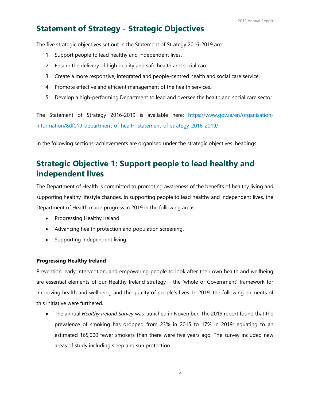### **Statement of Strategy - Strategic Objectives**

<span id="page-5-0"></span>The five strategic objectives set out in the Statement of Strategy 2016-2019 are:

- 1. Support people to lead healthy and independent lives.
- 2. Ensure the delivery of high quality and safe health and social care.
- 3. Create a more responsive, integrated and people-centred health and social care service.
- 4. Promote effective and efficient management of the health services.
- 5. Develop a high-performing Department to lead and oversee the health and social care sector.

The Statement of Strategy 2016-2019 is available here: [https://www.gov.ie/en/organisation](https://www.gov.ie/en/organisation-information/8df019-department-of-health-statement-of-strategy-2016-2019/)[information/8df019-department-of-health-statement-of-strategy-2016-2019/](https://www.gov.ie/en/organisation-information/8df019-department-of-health-statement-of-strategy-2016-2019/)

In the following sections, achievements are organised under the strategic objectives' headings.

### **Strategic Objective 1: Support people to lead healthy and independent lives**

<span id="page-5-1"></span>The Department of Health is committed to promoting awareness of the benefits of healthy living and supporting healthy lifestyle changes. In supporting people to lead healthy and independent lives, the Department of Health made progress in 2019 in the following areas:

- Progressing Healthy Ireland.
- Advancing health protection and population screening.
- Supporting independent living.

#### **Progressing Healthy Ireland**

Prevention, early intervention, and empowering people to look after their own health and wellbeing are essential elements of our Healthy Ireland strategy – the 'whole of Government' framework for improving health and wellbeing and the quality of people's lives. In 2019, the following elements of this initiative were furthered.

• The annual *Healthy Ireland Survey* was launched in November. The 2019 report found that the prevalence of smoking has dropped from 23% in 2015 to 17% in 2019; equating to an estimated 165,000 fewer smokers than there were five years ago. The survey included new areas of study including sleep and sun protection.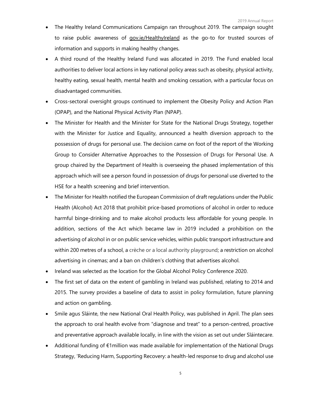- The Healthy Ireland Communications Campaign ran throughout 2019. The campaign sought to raise public awareness of [gov.ie/HealthyIreland](http://www.gov.ie/HealthyIreland) as the go-to for trusted sources of information and supports in making healthy changes.
- A third round of the Healthy Ireland Fund was allocated in 2019. The Fund enabled local authorities to deliver local actions in key national policy areas such as obesity, physical activity, healthy eating, sexual health, mental health and smoking cessation, with a particular focus on disadvantaged communities.
- Cross-sectoral oversight groups continued to implement the Obesity Policy and Action Plan (OPAP), and the National Physical Activity Plan (NPAP).
- The Minister for Health and the Minister for State for the National Drugs Strategy, together with the Minister for Justice and Equality, announced a health diversion approach to the possession of drugs for personal use. The decision came on foot of the report of the Working Group to Consider Alternative Approaches to the Possession of Drugs for Personal Use. A group chaired by the Department of Health is overseeing the phased implementation of this approach which will see a person found in possession of drugs for personal use diverted to the HSE for a health screening and brief intervention.
- The Minister for Health notified the European Commission of draft regulations under the Public Health (Alcohol) Act 2018 that prohibit price-based promotions of alcohol in order to reduce harmful binge-drinking and to make alcohol products less affordable for young people. In addition, sections of the Act which became law in 2019 included a prohibition on the advertising of alcohol in or on public service vehicles, within public transport infrastructure and within 200 metres of a school, a crèche or a local authority playground; a restriction on alcohol advertising in cinemas; and a ban on children's clothing that advertises alcohol.
- Ireland was selected as the location for the Global Alcohol Policy Conference 2020.
- The first set of data on the extent of gambling in Ireland was published, relating to 2014 and 2015. The survey provides a baseline of data to assist in policy formulation, future planning and action on gambling.
- Smile agus Sláinte, the new National Oral Health Policy, was published in April. The plan sees the approach to oral health evolve from "diagnose and treat" to a person-centred, proactive and preventative approach available locally, in line with the vision as set out under Sláintecare.
- Additional funding of €1million was made available for implementation of the National Drugs Strategy, 'Reducing Harm, Supporting Recovery: a health-led response to drug and alcohol use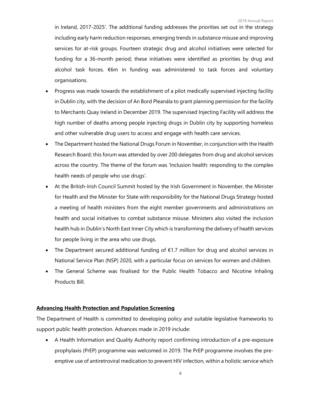in Ireland, 2017-2025'. The additional funding addresses the priorities set out in the strategy including early harm reduction responses, emerging trends in substance misuse and improving services for at-risk groups. Fourteen strategic drug and alcohol initiatives were selected for funding for a 36-month period; these initiatives were identified as priorities by drug and alcohol task forces. €6m in funding was administered to task forces and voluntary organisations.

- Progress was made towards the establishment of a pilot medically supervised injecting facility in Dublin city, with the decision of An Bord Pleanála to grant planning permission for the facility to Merchants Quay Ireland in December 2019. The supervised Injecting Facility will address the high number of deaths among people injecting drugs in Dublin city by supporting homeless and other vulnerable drug users to access and engage with health care services.
- The Department hosted the National Drugs Forum in November, in conjunction with the Health Research Board; this forum was attended by over 200 delegates from drug and alcohol services across the country. The theme of the forum was 'Inclusion health: responding to the complex health needs of people who use drugs'.
- At the British-Irish Council Summit hosted by the Irish Government in November, the Minister for Health and the Minister for State with responsibility for the National Drugs Strategy hosted a meeting of health ministers from the eight member governments and administrations on health and social initiatives to combat substance misuse. Ministers also visited the inclusion health hub in Dublin's North East Inner City which is transforming the delivery of health services for people living in the area who use drugs.
- The Department secured additional funding of €1.7 million for drug and alcohol services in National Service Plan (NSP) 2020, with a particular focus on services for women and children.
- The General Scheme was finalised for the Public Health Tobacco and Nicotine Inhaling Products Bill.

#### **Advancing Health Protection and Population Screening**

The Department of Health is committed to developing policy and suitable legislative frameworks to support public health protection. Advances made in 2019 include:

• A Health Information and Quality Authority report confirming introduction of a pre-exposure prophylaxis (PrEP) programme was welcomed in 2019. The PrEP programme involves the preemptive use of antiretroviral medication to prevent HIV infection, within a holistic service which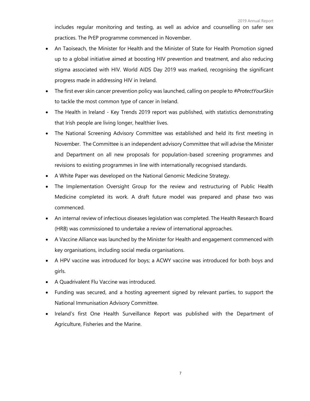includes regular monitoring and testing, as well as advice and counselling on safer sex practices. The PrEP programme commenced in November.

- An Taoiseach, the Minister for Health and the Minister of State for Health Promotion signed up to a global initiative aimed at boosting HIV prevention and treatment, and also reducing stigma associated with HIV. World AIDS Day 2019 was marked, recognising the significant progress made in addressing HIV in Ireland.
- The first ever skin cancer prevention policy was launched, calling on people to *#ProtectYourSkin* to tackle the most common type of cancer in Ireland.
- The Health in Ireland Key Trends 2019 report was published, with statistics demonstrating that Irish people are living longer, healthier lives.
- The National Screening Advisory Committee was established and held its first meeting in November. The Committee is an independent advisory Committee that will advise the Minister and Department on all new proposals for population-based screening programmes and revisions to existing programmes in line with internationally recognised standards.
- A White Paper was developed on the National Genomic Medicine Strategy.
- The Implementation Oversight Group for the review and restructuring of Public Health Medicine completed its work. A draft future model was prepared and phase two was commenced.
- An internal review of infectious diseases legislation was completed. The Health Research Board (HRB) was commissioned to undertake a review of international approaches.
- A Vaccine Alliance was launched by the Minister for Health and engagement commenced with key organisations, including social media organisations.
- A HPV vaccine was introduced for boys; a ACWY vaccine was introduced for both boys and girls.
- A Quadrivalent Flu Vaccine was introduced.
- Funding was secured, and a hosting agreement signed by relevant parties, to support the National Immunisation Advisory Committee.
- Ireland's first One Health Surveillance Report was published with the Department of Agriculture, Fisheries and the Marine.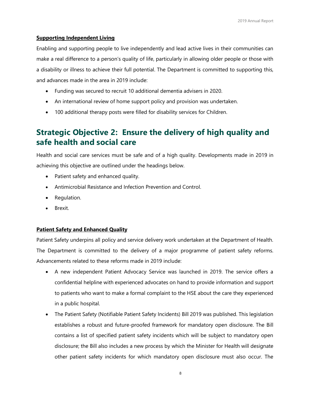#### **Supporting Independent Living**

Enabling and supporting people to live independently and lead active lives in their communities can make a real difference to a person's quality of life, particularly in allowing older people or those with a disability or illness to achieve their full potential. The Department is committed to supporting this, and advances made in the area in 2019 include:

- Funding was secured to recruit 10 additional dementia advisers in 2020.
- An international review of home support policy and provision was undertaken.
- 100 additional therapy posts were filled for disability services for Children.

### **Strategic Objective 2: Ensure the delivery of high quality and safe health and social care**

<span id="page-9-0"></span>Health and social care services must be safe and of a high quality. Developments made in 2019 in achieving this objective are outlined under the headings below.

- Patient safety and enhanced quality.
- Antimicrobial Resistance and Infection Prevention and Control.
- Regulation.
- Brexit.

#### **Patient Safety and Enhanced Quality**

Patient Safety underpins all policy and service delivery work undertaken at the Department of Health. The Department is committed to the delivery of a major programme of patient safety reforms. Advancements related to these reforms made in 2019 include:

- A new independent Patient Advocacy Service was launched in 2019. The service offers a confidential helpline with experienced advocates on hand to provide information and support to patients who want to make a formal complaint to the HSE about the care they experienced in a public hospital.
- The Patient Safety (Notifiable Patient Safety Incidents) Bill 2019 was published. This legislation establishes a robust and future-proofed framework for mandatory open disclosure. The Bill contains a list of specified patient safety incidents which will be subject to mandatory open disclosure; the Bill also includes a new process by which the Minister for Health will designate other patient safety incidents for which mandatory open disclosure must also occur. The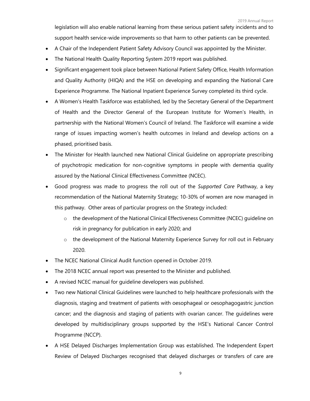legislation will also enable national learning from these serious patient safety incidents and to support health service-wide improvements so that harm to other patients can be prevented.

- A Chair of the Independent Patient Safety Advisory Council was appointed by the Minister.
- The National Health Quality Reporting System 2019 report was published.
- Significant engagement took place between National Patient Safety Office, Health Information and Quality Authority (HIQA) and the HSE on developing and expanding the National Care Experience Programme. The National Inpatient Experience Survey completed its third cycle.
- A Women's Health Taskforce was established, led by the Secretary General of the Department of Health and the Director General of the European Institute for Women's Health, in partnership with the National Women's Council of Ireland. The Taskforce will examine a wide range of issues impacting women's health outcomes in Ireland and develop actions on a phased, prioritised basis.
- The Minister for Health launched new National Clinical Guideline on appropriate prescribing of psychotropic medication for non-cognitive symptoms in people with dementia quality assured by the National Clinical Effectiveness Committee (NCEC).
- Good progress was made to progress the roll out of the *Supported Care* Pathway, a key recommendation of the National Maternity Strategy; 10-30% of women are now managed in this pathway. Other areas of particular progress on the Strategy included:
	- $\circ$  the development of the National Clinical Effectiveness Committee (NCEC) quideline on risk in pregnancy for publication in early 2020; and
	- o the development of the National Maternity Experience Survey for roll out in February 2020.
- The NCEC National Clinical Audit function opened in October 2019.
- The 2018 NCEC annual report was presented to the Minister and published.
- A revised NCEC manual for guideline developers was published.
- Two new National Clinical Guidelines were launched to help healthcare professionals with the diagnosis, staging and treatment of patients with oesophageal or oesophagogastric junction cancer; and the diagnosis and staging of patients with ovarian cancer. The guidelines were developed by multidisciplinary groups supported by the HSE's National Cancer Control Programme (NCCP).
- A HSE Delayed Discharges Implementation Group was established. The Independent Expert Review of Delayed Discharges recognised that delayed discharges or transfers of care are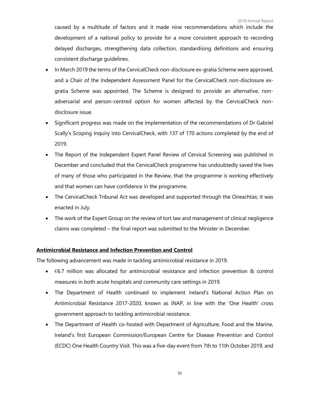caused by a multitude of factors and it made nine recommendations which include the development of a national policy to provide for a more consistent approach to recording delayed discharges, strengthening data collection, standardising definitions and ensuring consistent discharge guidelines.

- In March 2019 the terms of the CervicalCheck non-disclosure ex-gratia Scheme were approved, and a Chair of the Independent Assessment Panel for the CervicalCheck non-disclosure exgratia Scheme was appointed. The Scheme is designed to provide an alternative, nonadversarial and person-centred option for women affected by the CervicalCheck nondisclosure issue.
- Significant progress was made on the implementation of the recommendations of Dr Gabriel Scally's Scoping Inquiry into CervicalCheck, with 137 of 170 actions completed by the end of 2019.
- The Report of the Independent Expert Panel Review of Cervical Screening was published in December and concluded that the CervicalCheck programme has undoubtedly saved the lives of many of those who participated in the Review, that the programme is working effectively and that women can have confidence in the programme.
- The CervicalCheck Tribunal Act was developed and supported through the Oireachtas; it was enacted in July.
- The work of the Expert Group on the review of tort law and management of clinical negligence claims was completed – the final report was submitted to the Minister in December.

#### **Antimicrobial Resistance and Infection Prevention and Control**

The following advancement was made in tackling antimicrobial resistance in 2019.

- $\bullet$   $\epsilon$ 6.7 million was allocated for antimicrobial resistance and infection prevention & control measures in both acute hospitals and community care settings in 2019.
- The Department of Health continued to implement Ireland's National Action Plan on Antimicrobial Resistance 2017-2020, known as iNAP, in line with the 'One Health' cross government approach to tackling antimicrobial resistance.
- The Department of Health co-hosted with Department of Agriculture, Food and the Marine, Ireland's first European Commission/European Centre for Disease Prevention and Control (ECDC) One Health Country Visit. This was a five-day event from 7th to 11th October 2019, and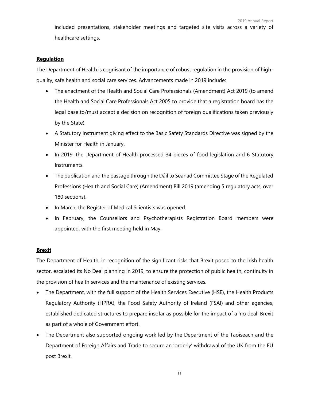included presentations, stakeholder meetings and targeted site visits across a variety of healthcare settings.

#### **Regulation**

The Department of Health is cognisant of the importance of robust regulation in the provision of highquality, safe health and social care services. Advancements made in 2019 include:

- The enactment of the Health and Social Care Professionals (Amendment) Act 2019 (to amend the Health and Social Care Professionals Act 2005 to provide that a registration board has the legal base to/must accept a decision on recognition of foreign qualifications taken previously by the State).
- A Statutory Instrument giving effect to the Basic Safety Standards Directive was signed by the Minister for Health in January.
- In 2019, the Department of Health processed 34 pieces of food legislation and 6 Statutory Instruments.
- The publication and the passage through the Dáil to Seanad Committee Stage of the Regulated Professions (Health and Social Care) (Amendment) Bill 2019 (amending 5 regulatory acts, over 180 sections).
- In March, the Register of Medical Scientists was opened.
- In February, the Counsellors and Psychotherapists Registration Board members were appointed, with the first meeting held in May.

#### **Brexit**

The Department of Health, in recognition of the significant risks that Brexit posed to the Irish health sector, escalated its No Deal planning in 2019, to ensure the protection of public health, continuity in the provision of health services and the maintenance of existing services.

- The Department, with the full support of the Health Services Executive (HSE), the Health Products Regulatory Authority (HPRA), the Food Safety Authority of Ireland (FSAI) and other agencies, established dedicated structures to prepare insofar as possible for the impact of a 'no deal' Brexit as part of a whole of Government effort.
- The Department also supported ongoing work led by the Department of the Taoiseach and the Department of Foreign Affairs and Trade to secure an 'orderly' withdrawal of the UK from the EU post Brexit.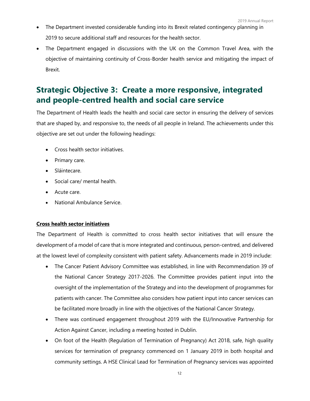- The Department invested considerable funding into its Brexit related contingency planning in 2019 to secure additional staff and resources for the health sector.
- The Department engaged in discussions with the UK on the Common Travel Area, with the objective of maintaining continuity of Cross-Border health service and mitigating the impact of Brexit.

### **Strategic Objective 3: Create a more responsive, integrated and people-centred health and social care service**

<span id="page-13-0"></span>The Department of Health leads the health and social care sector in ensuring the delivery of services that are shaped by, and responsive to, the needs of all people in Ireland. The achievements under this objective are set out under the following headings:

- Cross health sector initiatives.
- Primary care.
- Sláintecare.
- Social care/ mental health.
- Acute care.
- National Ambulance Service.

#### **Cross health sector initiatives**

The Department of Health is committed to cross health sector initiatives that will ensure the development of a model of care that is more integrated and continuous, person-centred, and delivered at the lowest level of complexity consistent with patient safety. Advancements made in 2019 include:

- The Cancer Patient Advisory Committee was established, in line with Recommendation 39 of the National Cancer Strategy 2017-2026. The Committee provides patient input into the oversight of the implementation of the Strategy and into the development of programmes for patients with cancer. The Committee also considers how patient input into cancer services can be facilitated more broadly in line with the objectives of the National Cancer Strategy.
- There was continued engagement throughout 2019 with the EU/Innovative Partnership for Action Against Cancer, including a meeting hosted in Dublin.
- On foot of the Health (Regulation of Termination of Pregnancy) Act 2018, safe, high quality services for termination of pregnancy commenced on 1 January 2019 in both hospital and community settings. A HSE Clinical Lead for Termination of Pregnancy services was appointed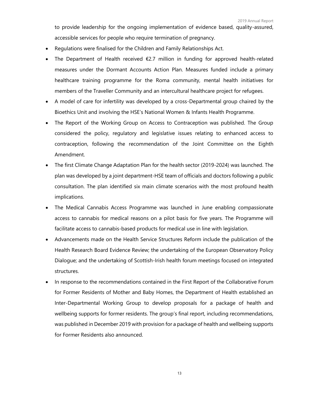to provide leadership for the ongoing implementation of evidence based, quality-assured, accessible services for people who require termination of pregnancy.

- Regulations were finalised for the Children and Family Relationships Act.
- The Department of Health received  $\epsilon$ 2.7 million in funding for approved health-related measures under the Dormant Accounts Action Plan. Measures funded include a primary healthcare training programme for the Roma community, mental health initiatives for members of the Traveller Community and an intercultural healthcare project for refugees.
- A model of care for infertility was developed by a cross-Departmental group chaired by the Bioethics Unit and involving the HSE's National Women & Infants Health Programme.
- The Report of the Working Group on Access to Contraception was published. The Group considered the policy, regulatory and legislative issues relating to enhanced access to contraception, following the recommendation of the Joint Committee on the Eighth Amendment.
- The first Climate Change Adaptation Plan for the health sector (2019-2024) was launched. The plan was developed by a joint department-HSE team of officials and doctors following a public consultation. The plan identified six main climate scenarios with the most profound health implications.
- The Medical Cannabis Access Programme was launched in June enabling compassionate access to cannabis for medical reasons on a pilot basis for five years. The Programme will facilitate access to cannabis-based products for medical use in line with legislation.
- Advancements made on the Health Service Structures Reform include the publication of the Health Research Board Evidence Review; the undertaking of the European Observatory Policy Dialogue; and the undertaking of Scottish-Irish health forum meetings focused on integrated structures.
- In response to the recommendations contained in the First Report of the Collaborative Forum for Former Residents of Mother and Baby Homes, the Department of Health established an Inter-Departmental Working Group to develop proposals for a package of health and wellbeing supports for former residents. The group's final report, including recommendations, was published in December 2019 with provision for a package of health and wellbeing supports for Former Residents also announced.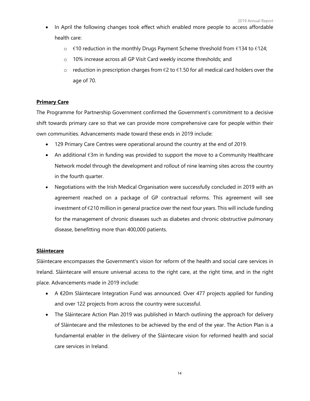- In April the following changes took effect which enabled more people to access affordable health care:
	- o  $€10$  reduction in the monthly Drugs Payment Scheme threshold from  $€134$  to  $€124;$
	- o 10% increase across all GP Visit Card weekly income thresholds; and
	- $\circ$  reduction in prescription charges from €2 to €1.50 for all medical card holders over the age of 70.

#### **Primary Care**

The Programme for Partnership Government confirmed the Government's commitment to a decisive shift towards primary care so that we can provide more comprehensive care for people within their own communities. Advancements made toward these ends in 2019 include:

- 129 Primary Care Centres were operational around the country at the end of 2019.
- An additional  $\epsilon$ 3m in funding was provided to support the move to a Community Healthcare Network model through the development and rollout of nine learning sites across the country in the fourth quarter.
- Negotiations with the Irish Medical Organisation were successfully concluded in 2019 with an agreement reached on a package of GP contractual reforms. This agreement will see investment of  $\epsilon$ 210 million in general practice over the next four years. This will include funding for the management of chronic diseases such as diabetes and chronic obstructive pulmonary disease, benefitting more than 400,000 patients.

#### **Sláintecare**

Sláintecare encompasses the Government's vision for reform of the health and social care services in Ireland. Sláintecare will ensure universal access to the right care, at the right time, and in the right place. Advancements made in 2019 include:

- A €20m Sláintecare Integration Fund was announced. Over 477 projects applied for funding and over 122 projects from across the country were successful.
- The Sláintecare Action Plan 2019 was published in March outlining the approach for delivery of Sláintecare and the milestones to be achieved by the end of the year. The Action Plan is a fundamental enabler in the delivery of the Sláintecare vision for reformed health and social care services in Ireland.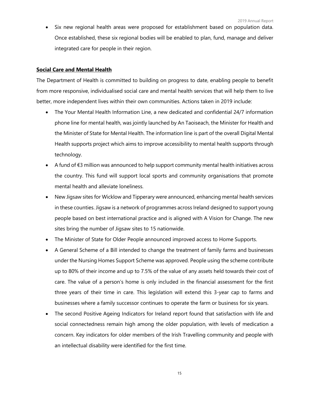Six new regional health areas were proposed for establishment based on population data. Once established, these six regional bodies will be enabled to plan, fund, manage and deliver integrated care for people in their region.

#### **Social Care and Mental Health**

The Department of Health is committed to building on progress to date, enabling people to benefit from more responsive, individualised social care and mental health services that will help them to live better, more independent lives within their own communities. Actions taken in 2019 include:

- The Your Mental Health Information Line, a new dedicated and confidential 24/7 information phone line for mental health, was jointly launched by An Taoiseach, the Minister for Health and the Minister of State for Mental Health. The information line is part of the overall Digital Mental Health supports project which aims to improve accessibility to mental health supports through technology.
- A fund of €3 million was announced to help support community mental health initiatives across the country. This fund will support local sports and community organisations that promote mental health and alleviate loneliness.
- New Jigsaw sites for Wicklow and Tipperary were announced, enhancing mental health services in these counties. Jigsaw is a network of programmes across Ireland designed to support young people based on best international practice and is aligned with A Vision for Change. The new sites bring the number of Jigsaw sites to 15 nationwide.
- The Minister of State for Older People announced improved access to Home Supports.
- A General Scheme of a Bill intended to change the treatment of family farms and businesses under the Nursing Homes Support Scheme was approved. People using the scheme contribute up to 80% of their income and up to 7.5% of the value of any assets held towards their cost of care. The value of a person's home is only included in the financial assessment for the first three years of their time in care. This legislation will extend this 3-year cap to farms and businesses where a family successor continues to operate the farm or business for six years.
- The second Positive Ageing Indicators for Ireland report found that satisfaction with life and social connectedness remain high among the older population, with levels of medication a concern. Key indicators for older members of the Irish Travelling community and people with an intellectual disability were identified for the first time.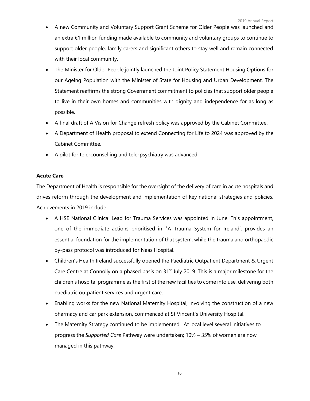- A new Community and Voluntary Support Grant Scheme for Older People was launched and an extra €1 million funding made available to community and voluntary groups to continue to support older people, family carers and significant others to stay well and remain connected with their local community.
- The Minister for Older People jointly launched the Joint Policy Statement Housing Options for our Ageing Population with the Minister of State for Housing and Urban Development. The Statement reaffirms the strong Government commitment to policies that support older people to live in their own homes and communities with dignity and independence for as long as possible.
- A final draft of A Vision for Change refresh policy was approved by the Cabinet Committee.
- A Department of Health proposal to extend Connecting for Life to 2024 was approved by the Cabinet Committee.
- A pilot for tele-counselling and tele-psychiatry was advanced.

#### **Acute Care**

The Department of Health is responsible for the oversight of the delivery of care in acute hospitals and drives reform through the development and implementation of key national strategies and policies. Achievements in 2019 include:

- A HSE National Clinical Lead for Trauma Services was appointed in June. This appointment, one of the immediate actions prioritised in'A Trauma System for Ireland', provides an essential foundation for the implementation of that system, while the trauma and orthopaedic by-pass protocol was introduced for Naas Hospital.
- Children's Health Ireland successfully opened the Paediatric Outpatient Department & Urgent Care Centre at Connolly on a phased basis on 31<sup>st</sup> July 2019. This is a major milestone for the children's hospital programme as the first of the new facilities to come into use, delivering both paediatric outpatient services and urgent care.
- Enabling works for the new National Maternity Hospital, involving the construction of a new pharmacy and car park extension, commenced at St Vincent's University Hospital.
- The Maternity Strategy continued to be implemented. At local level several initiatives to progress the *Supported Care* Pathway were undertaken; 10% – 35% of women are now managed in this pathway.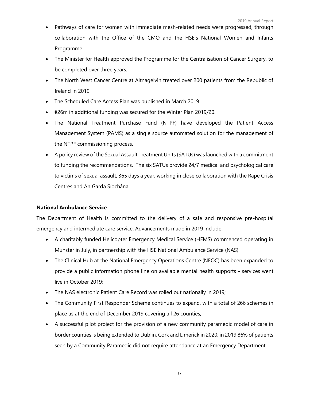- Pathways of care for women with immediate mesh-related needs were progressed, through collaboration with the Office of the CMO and the HSE's National Women and Infants Programme.
- The Minister for Health approved the Programme for the Centralisation of Cancer Surgery, to be completed over three years.
- The North West Cancer Centre at Altnagelvin treated over 200 patients from the Republic of Ireland in 2019.
- The Scheduled Care Access Plan was published in March 2019.
- €26m in additional funding was secured for the Winter Plan 2019/20.
- The National Treatment Purchase Fund (NTPF) have developed the Patient Access Management System (PAMS) as a single source automated solution for the management of the NTPF commissioning process.
- A policy review of the Sexual Assault Treatment Units (SATUs) was launched with a commitment to funding the recommendations. The six SATUs provide 24/7 medical and psychological care to victims of sexual assault, 365 days a year, working in close collaboration with the Rape Crisis Centres and An Garda Síochána.

#### **National Ambulance Service**

The Department of Health is committed to the delivery of a safe and responsive pre-hospital emergency and intermediate care service. Advancements made in 2019 include:

- A charitably funded Helicopter Emergency Medical Service (HEMS) commenced operating in Munster in July, in partnership with the HSE National Ambulance Service (NAS).
- The Clinical Hub at the National Emergency Operations Centre (NEOC) has been expanded to provide a public information phone line on available mental health supports - services went live in October 2019;
- The NAS electronic Patient Care Record was rolled out nationally in 2019;
- The Community First Responder Scheme continues to expand, with a total of 266 schemes in place as at the end of December 2019 covering all 26 counties;
- A successful pilot project for the provision of a new community paramedic model of care in border counties is being extended to Dublin, Cork and Limerick in 2020; in 2019 86% of patients seen by a Community Paramedic did not require attendance at an Emergency Department.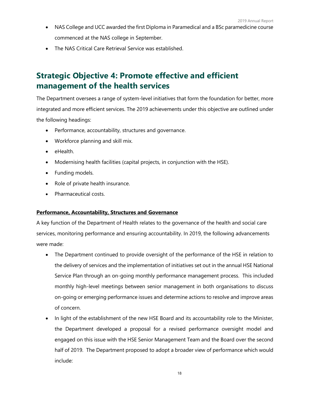- NAS College and UCC awarded the first Diploma in Paramedical and a BSc paramedicine course commenced at the NAS college in September.
- The NAS Critical Care Retrieval Service was established.

### **Strategic Objective 4: Promote effective and efficient management of the health services**

<span id="page-19-0"></span>The Department oversees a range of system-level initiatives that form the foundation for better, more integrated and more efficient services. The 2019 achievements under this objective are outlined under the following headings:

- Performance, accountability, structures and governance.
- Workforce planning and skill mix.
- eHealth.
- Modernising health facilities (capital projects, in conjunction with the HSE).
- Funding models.
- Role of private health insurance.
- Pharmaceutical costs.

#### **Performance, Accountability, Structures and Governance**

A key function of the Department of Health relates to the governance of the health and social care services, monitoring performance and ensuring accountability. In 2019, the following advancements were made:

- The Department continued to provide oversight of the performance of the HSE in relation to the delivery of services and the implementation of initiatives set out in the annual HSE National Service Plan through an on-going monthly performance management process. This included monthly high-level meetings between senior management in both organisations to discuss on-going or emerging performance issues and determine actions to resolve and improve areas of concern.
- In light of the establishment of the new HSE Board and its accountability role to the Minister, the Department developed a proposal for a revised performance oversight model and engaged on this issue with the HSE Senior Management Team and the Board over the second half of 2019. The Department proposed to adopt a broader view of performance which would include: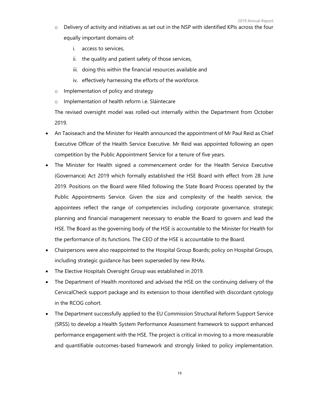- $\circ$  Delivery of activity and initiatives as set out in the NSP with identified KPIs across the four equally important domains of:
	- i. access to services,
	- ii. the quality and patient safety of those services,
	- iii. doing this within the financial resources available and
	- iv. effectively harnessing the efforts of the workforce.
- o Implementation of policy and strategy
- o Implementation of health reform i.e. Sláintecare

The revised oversight model was rolled-out internally within the Department from October 2019.

- An Taoiseach and the Minister for Health announced the appointment of Mr Paul Reid as Chief Executive Officer of the Health Service Executive. Mr Reid was appointed following an open competition by the Public Appointment Service for a tenure of five years.
- The Minister for Health signed a commencement order for the Health Service Executive (Governance) Act 2019 which formally established the HSE Board with effect from 28 June 2019. Positions on the Board were filled following the State Board Process operated by the Public Appointments Service. Given the size and complexity of the health service, the appointees reflect the range of competencies including corporate governance, strategic planning and financial management necessary to enable the Board to govern and lead the HSE. The Board as the governing body of the HSE is accountable to the Minister for Health for the performance of its functions. The CEO of the HSE is accountable to the Board.
- Chairpersons were also reappointed to the Hospital Group Boards; policy on Hospital Groups, including strategic guidance has been superseded by new RHAs.
- The Elective Hospitals Oversight Group was established in 2019.
- The Department of Health monitored and advised the HSE on the continuing delivery of the CervicalCheck support package and its extension to those identified with discordant cytology in the RCOG cohort.
- The Department successfully applied to the EU Commission Structural Reform Support Service (SRSS) to develop a Health System Performance Assessment framework to support enhanced performance engagement with the HSE. The project is critical in moving to a more measurable and quantifiable outcomes-based framework and strongly linked to policy implementation.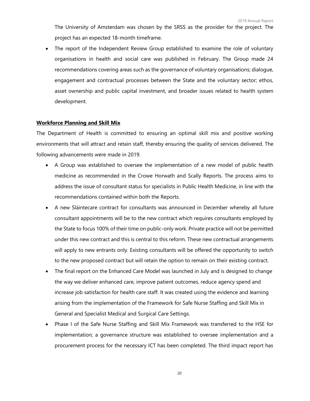The University of Amsterdam was chosen by the SRSS as the provider for the project. The project has an expected 18-month timeframe.

The report of the Independent Review Group established to examine the role of voluntary organisations in health and social care was published in February. The Group made 24 recommendations covering areas such as the governance of voluntary organisations; dialogue, engagement and contractual processes between the State and the voluntary sector; ethos, asset ownership and public capital investment, and broader issues related to health system development.

#### **Workforce Planning and Skill Mix**

The Department of Health is committed to ensuring an optimal skill mix and positive working environments that will attract and retain staff, thereby ensuring the quality of services delivered. The following advancements were made in 2019.

- A Group was established to oversee the implementation of a new model of public health medicine as recommended in the Crowe Horwath and Scally Reports. The process aims to address the issue of consultant status for specialists in Public Health Medicine, in line with the recommendations contained within both the Reports.
- A new Sláintecare contract for consultants was announced in December whereby all future consultant appointments will be to the new contract which requires consultants employed by the State to focus 100% of their time on public-only work. Private practice will not be permitted under this new contract and this is central to this reform. These new contractual arrangements will apply to new entrants only. Existing consultants will be offered the opportunity to switch to the new proposed contract but will retain the option to remain on their existing contract.
- The final report on the Enhanced Care Model was launched in July and is designed to change the way we deliver enhanced care, improve patient outcomes, reduce agency spend and increase job satisfaction for health care staff. It was created using the evidence and learning arising from the implementation of the Framework for Safe Nurse Staffing and Skill Mix in General and Specialist Medical and Surgical Care Settings.
- Phase I of the Safe Nurse Staffing and Skill Mix Framework was transferred to the HSE for implementation; a governance structure was established to oversee implementation and a procurement process for the necessary ICT has been completed. The third impact report has

20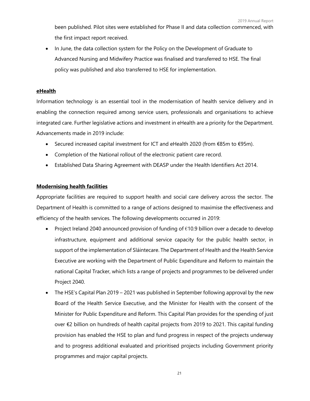been published. Pilot sites were established for Phase II and data collection commenced, with the first impact report received.

• In June, the data collection system for the Policy on the Development of Graduate to Advanced Nursing and Midwifery Practice was finalised and transferred to HSE. The final policy was published and also transferred to HSE for implementation.

#### **eHealth**

Information technology is an essential tool in the modernisation of health service delivery and in enabling the connection required among service users, professionals and organisations to achieve integrated care. Further legislative actions and investment in eHealth are a priority for the Department. Advancements made in 2019 include:

- Secured increased capital investment for ICT and eHealth 2020 (from €85m to €95m).
- Completion of the National rollout of the electronic patient care record.
- Established Data Sharing Agreement with DEASP under the Health Identifiers Act 2014.

#### **Modernising health facilities**

Appropriate facilities are required to support health and social care delivery across the sector. The Department of Health is committed to a range of actions designed to maximise the effectiveness and efficiency of the health services. The following developments occurred in 2019:

- Project Ireland 2040 announced provision of funding of  $\epsilon$ 10.9 billion over a decade to develop infrastructure, equipment and additional service capacity for the public health sector, in support of the implementation of Sláintecare. The Department of Health and the Health Service Executive are working with the Department of Public Expenditure and Reform to maintain the national Capital Tracker, which lists a range of projects and programmes to be delivered under Project 2040.
- The HSE's Capital Plan 2019 2021 was published in September following approval by the new Board of the Health Service Executive, and the Minister for Health with the consent of the Minister for Public Expenditure and Reform. This Capital Plan provides for the spending of just over €2 billion on hundreds of health capital projects from 2019 to 2021. This capital funding provision has enabled the HSE to plan and fund progress in respect of the projects underway and to progress additional evaluated and prioritised projects including Government priority programmes and major capital projects.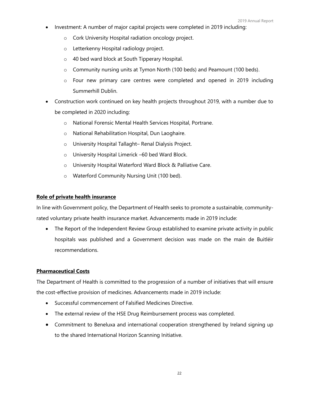- Investment: A number of major capital projects were completed in 2019 including:
	- o Cork University Hospital radiation oncology project.
	- o Letterkenny Hospital radiology project.
	- o 40 bed ward block at South Tipperary Hospital.
	- $\circ$  Community nursing units at Tymon North (100 beds) and Peamount (100 beds).
	- $\circ$  Four new primary care centres were completed and opened in 2019 including Summerhill Dublin.
- Construction work continued on key health projects throughout 2019, with a number due to be completed in 2020 including:
	- o National Forensic Mental Health Services Hospital, Portrane.
	- o National Rehabilitation Hospital, Dun Laoghaire.
	- o University Hospital Tallaght– Renal Dialysis Project.
	- o University Hospital Limerick –60 bed Ward Block.
	- o University Hospital Waterford Ward Block & Palliative Care.
	- o Waterford Community Nursing Unit (100 bed).

#### **Role of private health insurance**

In line with Government policy, the Department of Health seeks to promote a sustainable, communityrated voluntary private health insurance market. Advancements made in 2019 include:

• The Report of the Independent Review Group established to examine private activity in public hospitals was published and a Government decision was made on the main de Buitléir recommendations.

#### **Pharmaceutical Costs**

The Department of Health is committed to the progression of a number of initiatives that will ensure the cost-effective provision of medicines. Advancements made in 2019 include:

- Successful commencement of Falsified Medicines Directive.
- The external review of the HSE Drug Reimbursement process was completed.
- Commitment to Beneluxa and international cooperation strengthened by Ireland signing up to the shared International Horizon Scanning Initiative.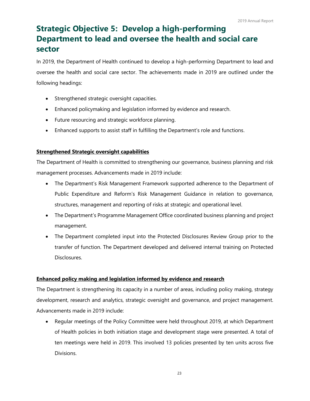## **Strategic Objective 5: Develop a high-performing Department to lead and oversee the health and social care sector**

<span id="page-24-0"></span>In 2019, the Department of Health continued to develop a high-performing Department to lead and oversee the health and social care sector. The achievements made in 2019 are outlined under the following headings:

- Strengthened strategic oversight capacities.
- Enhanced policymaking and legislation informed by evidence and research.
- Future resourcing and strategic workforce planning.
- Enhanced supports to assist staff in fulfilling the Department's role and functions.

#### **Strengthened Strategic oversight capabilities**

The Department of Health is committed to strengthening our governance, business planning and risk management processes. Advancements made in 2019 include:

- The Department's Risk Management Framework supported adherence to the Department of Public Expenditure and Reform's Risk Management Guidance in relation to governance, structures, management and reporting of risks at strategic and operational level.
- The Department's Programme Management Office coordinated business planning and project management.
- The Department completed input into the Protected Disclosures Review Group prior to the transfer of function. The Department developed and delivered internal training on Protected Disclosures.

#### **Enhanced policy making and legislation informed by evidence and research**

The Department is strengthening its capacity in a number of areas, including policy making, strategy development, research and analytics, strategic oversight and governance, and project management. Advancements made in 2019 include:

• Regular meetings of the Policy Committee were held throughout 2019, at which Department of Health policies in both initiation stage and development stage were presented. A total of ten meetings were held in 2019. This involved 13 policies presented by ten units across five Divisions.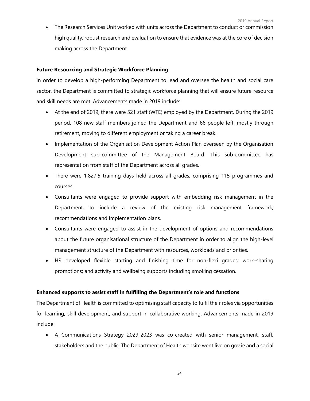• The Research Services Unit worked with units across the Department to conduct or commission high quality, robust research and evaluation to ensure that evidence was at the core of decision making across the Department.

#### **Future Resourcing and Strategic Workforce Planning**

In order to develop a high-performing Department to lead and oversee the health and social care sector, the Department is committed to strategic workforce planning that will ensure future resource and skill needs are met. Advancements made in 2019 include:

- At the end of 2019, there were 521 staff (WTE) employed by the Department. During the 2019 period, 108 new staff members joined the Department and 66 people left, mostly through retirement, moving to different employment or taking a career break.
- Implementation of the Organisation Development Action Plan overseen by the Organisation Development sub-committee of the Management Board. This sub-committee has representation from staff of the Department across all grades.
- There were 1,827.5 training days held across all grades, comprising 115 programmes and courses.
- Consultants were engaged to provide support with embedding risk management in the Department, to include a review of the existing risk management framework, recommendations and implementation plans.
- Consultants were engaged to assist in the development of options and recommendations about the future organisational structure of the Department in order to align the high-level management structure of the Department with resources, workloads and priorities.
- HR developed flexible starting and finishing time for non-flexi grades; work-sharing promotions; and activity and wellbeing supports including smoking cessation.

#### **Enhanced supports to assist staff in fulfilling the Department's role and functions**

The Department of Health is committed to optimising staff capacity to fulfil their roles via opportunities for learning, skill development, and support in collaborative working. Advancements made in 2019 include:

• A Communications Strategy 2029-2023 was co-created with senior management, staff, stakeholders and the public. The Department of Health website went live on gov.ie and a social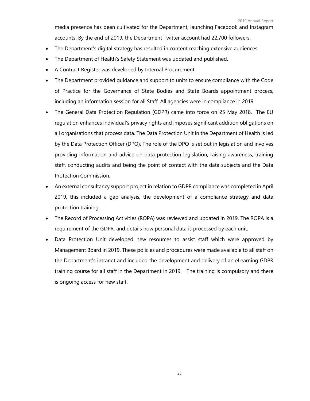media presence has been cultivated for the Department, launching Facebook and Instagram accounts. By the end of 2019, the Department Twitter account had 22,700 followers.

- The Department's digital strategy has resulted in content reaching extensive audiences.
- The Department of Health's Safety Statement was updated and published.
- A Contract Register was developed by Internal Procurement.
- The Department provided guidance and support to units to ensure compliance with the Code of Practice for the Governance of State Bodies and State Boards appointment process, including an information session for all Staff. All agencies were in compliance in 2019.
- The General Data Protection Regulation (GDPR) came into force on 25 May 2018. The EU regulation enhances individual's privacy rights and imposes significant addition obligations on all organisations that process data. The Data Protection Unit in the Department of Health is led by the Data Protection Officer (DPO). The role of the DPO is set out in legislation and involves providing information and advice on data protection legislation, raising awareness, training staff, conducting audits and being the point of contact with the data subjects and the Data Protection Commission.
- An external consultancy support project in relation to GDPR compliance was completed in April 2019, this included a gap analysis, the development of a compliance strategy and data protection training.
- The Record of Processing Activities (ROPA) was reviewed and updated in 2019. The ROPA is a requirement of the GDPR, and details how personal data is processed by each unit.
- Data Protection Unit developed new resources to assist staff which were approved by Management Board in 2019. These policies and procedures were made available to all staff on the Department's intranet and included the development and delivery of an eLearning GDPR training course for all staff in the Department in 2019. The training is compulsory and there is ongoing access for new staff.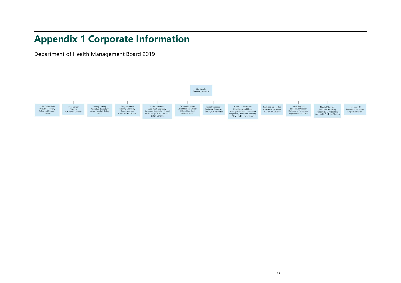## **Appendix 1 Corporate Information**

Department of Health Management Board 2019

<span id="page-27-0"></span>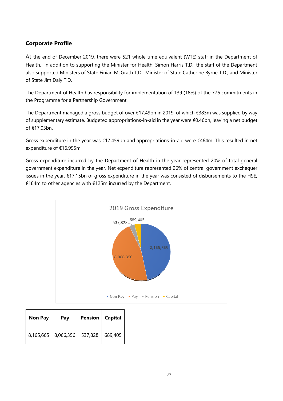#### **Corporate Profile**

At the end of December 2019, there were 521 whole time equivalent (WTE) staff in the Department of Health. In addition to supporting the Minister for Health, Simon Harris T.D., the staff of the Department also supported Ministers of State Finian McGrath T.D., Minister of State Catherine Byrne T.D., and Minister of State Jim Daly T.D.

The Department of Health has responsibility for implementation of 139 (18%) of the 776 commitments in the Programme for a Partnership Government.

The Department managed a gross budget of over €17.49bn in 2019, of which €383m was supplied by way of supplementary estimate. Budgeted appropriations-in-aid in the year were €0.46bn, leaving a net budget of €17.03bn.

Gross expenditure in the year was €17.459bn and appropriations-in-aid were €464m. This resulted in net expenditure of €16.995m

Gross expenditure incurred by the Department of Health in the year represented 20% of total general government expenditure in the year. Net expenditure represented 26% of central government exchequer issues in the year. €17.15bn of gross expenditure in the year was consisted of disbursements to the HSE, €184m to other agencies with €125m incurred by the Department.



| <b>Non Pay</b> | Pay                             | Pension   Capital |         |
|----------------|---------------------------------|-------------------|---------|
|                | 8,165,665   8,066,356   537,828 |                   | 689,405 |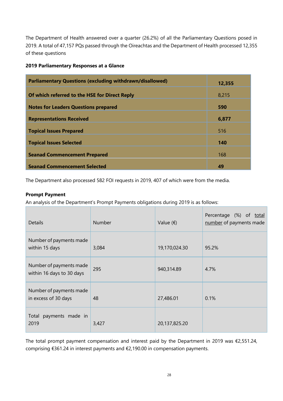The Department of Health answered over a quarter (26.2%) of all the Parliamentary Questions posed in 2019. A total of 47,157 PQs passed through the Oireachtas and the Department of Health processed 12,355 of these questions

#### **2019 Parliamentary Responses at a Glance**

| <b>Parliamentary Questions (excluding withdrawn/disallowed)</b> | 12,355 |
|-----------------------------------------------------------------|--------|
| Of which referred to the HSE for Direct Reply                   | 8,215  |
| <b>Notes for Leaders Questions prepared</b>                     | 590    |
| <b>Representations Received</b>                                 | 6,877  |
| <b>Topical Issues Prepared</b>                                  | 516    |
| <b>Topical Issues Selected</b>                                  | 140    |
| <b>Seanad Commencement Prepared</b>                             | 168    |
| <b>Seanad Commencement Selected</b>                             | 49     |

The Department also processed 582 FOI requests in 2019, 407 of which were from the media.

#### **Prompt Payment**

An analysis of the Department's Prompt Payments obligations during 2019 is as follows:

| <b>Details</b>                                       | <b>Number</b> | Value $(\epsilon)$ | Percentage (%) of<br><u>total</u><br>number of payments made |
|------------------------------------------------------|---------------|--------------------|--------------------------------------------------------------|
| Number of payments made<br>within 15 days            | 3,084         | 19,170,024.30      | 95.2%                                                        |
| Number of payments made<br>within 16 days to 30 days | 295           | 940,314.89         | 4.7%                                                         |
| Number of payments made<br>in excess of 30 days      | 48            | 27,486.01          | 0.1%                                                         |
| Total payments made in<br>2019                       | 3,427         | 20,137,825.20      |                                                              |

The total prompt payment compensation and interest paid by the Department in 2019 was  $\epsilon$ 2,551.24, comprising €361.24 in interest payments and €2,190.00 in compensation payments.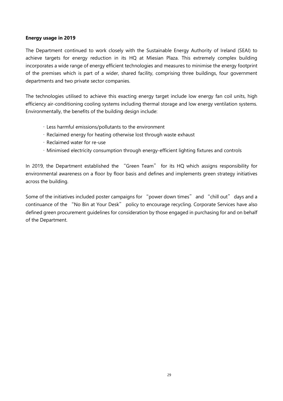#### **Energy usage in 2019**

The Department continued to work closely with the Sustainable Energy Authority of Ireland (SEAI) to achieve targets for energy reduction in its HQ at Miesian Plaza. This extremely complex building incorporates a wide range of energy efficient technologies and measures to minimise the energy footprint of the premises which is part of a wider, shared facility, comprising three buildings, four government departments and two private sector companies.

The technologies utilised to achieve this exacting energy target include low energy fan coil units, high efficiency air-conditioning cooling systems including thermal storage and low energy ventilation systems. Environmentally, the benefits of the building design include:

- Less harmful emissions/pollutants to the environment
- Reclaimed energy for heating otherwise lost through waste exhaust
- Reclaimed water for re-use
- Minimised electricity consumption through energy-efficient lighting fixtures and controls

In 2019, the Department established the "Green Team" for its HQ which assigns responsibility for environmental awareness on a floor by floor basis and defines and implements green strategy initiatives across the building.

Some of the initiatives included poster campaigns for "power down times" and "chill out" days and a continuance of the "No Bin at Your Desk" policy to encourage recycling. Corporate Services have also defined green procurement guidelines for consideration by those engaged in purchasing for and on behalf of the Department.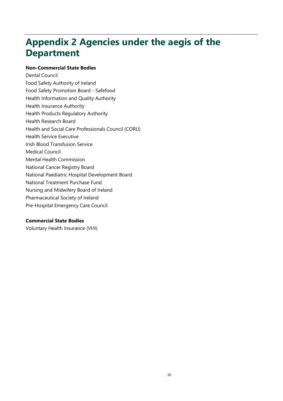## <span id="page-31-0"></span>**Appendix 2 Agencies under the aegis of the Department**

#### **Non-Commercial State Bodies**

Dental Council Food Safety Authority of Ireland Food Safety Promotion Board - Safefood Health Information and Quality Authority Health Insurance Authority Health Products Regulatory Authority Health Research Board Health and Social Care Professionals Council (CORU) Health Service Executive Irish Blood Transfusion Service Medical Council Mental Health Commission National Cancer Registry Board National Paediatric Hospital Development Board National Treatment Purchase Fund Nursing and Midwifery Board of Ireland Pharmaceutical Society of Ireland Pre-Hospital Emergency Care Council

#### **Commercial State Bodies**

Voluntary Health Insurance (VHI)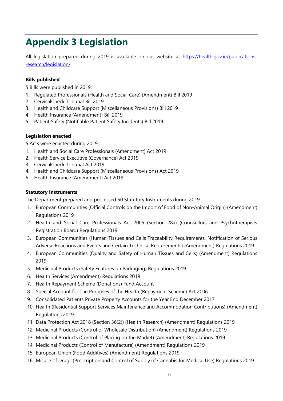## <span id="page-32-0"></span>**Appendix 3 Legislation**

All legislation prepared during 2019 is available on our website at [https://health.gov.ie/publications](https://health.gov.ie/publications-research/legislation/)[research/legislation/](https://health.gov.ie/publications-research/legislation/)

#### **Bills published**

5 Bills were published in 2019:

- 1. Regulated Professionals (Health and Social Care) (Amendment) Bill 2019
- 2. CervicalCheck Tribunal Bill 2019
- 3. Health and Childcare Support (Miscellaneous Provisions) Bill 2019
- 4. Health Insurance (Amendment) Bill 2019
- 5. Patient Safety (Notifiable Patient Safety Incidents) Bill 2019

#### **Legislation enacted**

5 Acts were enacted during 2019:

- 1. Health and Social Care Professionals (Amendment) Act 2019
- 2. Health Service Executive (Governance) Act 2019
- 3. CervicalCheck Tribunal Act 2019
- 4. Health and Childcare Support (Miscellaneous Provisions) Act 2019
- 5. Health Insurance (Amendment) Act 2019

#### **Statutory Instruments**

The Department prepared and processed 50 Statutory Instruments during 2019:

- 1. European Communities (Official Controls on the Import of Food of Non-Animal Origin) (Amendment) Regulations 2019
- 2. Health and Social Care Professionals Act 2005 (Section 28a) (Counsellors and Psychotherapists Registration Board) Regulations 2019
- 3. European Communities (Human Tissues and Cells Traceability Requirements, Notification of Serious Adverse Reactions and Events and Certain Technical Requirements) (Amendment) Regulations 2019
- 4. European Communities (Quality and Safety of Human Tissues and Cells) (Amendment) Regulations 2019
- 5. Medicinal Products (Safety Features on Packaging) Regulations 2019
- 6. Health Services (Amendment) Regulations 2019
- 7. Health Repayment Scheme (Donations) Fund Account
- 8. Special Account for The Purposes of the Health (Repayment Scheme) Act 2006
- 9. Consolidated Patients Private Property Accounts for the Year End December 2017
- 10. Health (Residential Support Services Maintenance and Accommodation Contributions) (Amendment) Regulations 2019
- 11. Data Protection Act 2018 (Section 36(2)) (Health Research) (Amendment) Regulations 2019
- 12. Medicinal Products (Control of Wholesale Distribution) (Amendment) Regulations 2019
- 13. Medicinal Products (Control of Placing on the Market) (Amendment) Regulations 2019
- 14. Medicinal Products (Control of Manufacture) (Amendment) Regulations 2019
- 15. European Union (Food Additives) (Amendment) Regulations 2019
- 16. Misuse of Drugs (Prescription and Control of Supply of Cannabis for Medical Use) Regulations 2019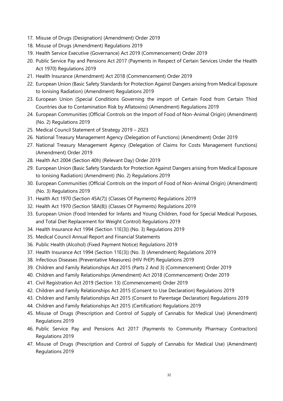- 17. Misuse of Drugs (Designation) (Amendment) Order 2019
- 18. Misuse of Drugs (Amendment) Regulations 2019
- 19. Health Service Executive (Governance) Act 2019 (Commencement) Order 2019
- 20. Public Service Pay and Pensions Act 2017 (Payments in Respect of Certain Services Under the Health Act 1970) Regulations 2019
- 21. Health Insurance (Amendment) Act 2018 (Commencement) Order 2019
- 22. European Union (Basic Safety Standards for Protection Against Dangers arising from Medical Exposure to Ionising Radiation) (Amendment) Regulations 2019
- 23. European Union (Special Conditions Governing the import of Certain Food from Certain Third Countries due to Contamination Risk by Aflatoxins) (Amendment) Regulations 2019
- 24. European Communities (Official Controls on the Import of Food of Non-Animal Origin) (Amendment) (No. 2) Regulations 2019
- 25. Medical Council Statement of Strategy 2019 2023
- 26. National Treasury Management Agency (Delegation of Functions) (Amendment) Order 2019
- 27. National Treasury Management Agency (Delegation of Claims for Costs Management Functions) (Amendment) Order 2019
- 28. Health Act 2004 (Section 40h) (Relevant Day) Order 2019
- 29. European Union (Basic Safety Standards for Protection Against Dangers arising from Medical Exposure to Ionising Radiation) (Amendment) (No. 2) Regulations 2019
- 30. European Communities (Official Controls on the Import of Food of Non-Animal Origin) (Amendment) (No. 3) Regulations 2019
- 31. Health Act 1970 (Section 45A(7)) (Classes Of Payments) Regulations 2019
- 32. Health Act 1970 (Section 58A(8)) (Classes Of Payments) Regulations 2019
- 33. European Union (Food Intended for Infants and Young Children, Food for Special Medical Purposes, and Total Diet Replacement for Weight Control) Regulations 2019
- 34. Health Insurance Act 1994 (Section 11E(3)) (No. 3) Regulations 2019
- 35. Medical Council Annual Report and Financial Statements
- 36. Public Health (Alcohol) (Fixed Payment Notice) Regulations 2019
- 37. Health Insurance Act 1994 (Section 11E(3)) (No. 3) (Amendment) Regulations 2019
- 38. Infectious Diseases (Preventative Measures) (HIV PrEP) Regulations 2019
- 39. Children and Family Relationships Act 2015 (Parts 2 And 3) (Commencement) Order 2019
- 40. Children and Family Relationships (Amendment) Act 2018 (Commencement) Order 2019
- 41. Civil Registration Act 2019 (Section 13) (Commencement) Order 2019
- 42. Children and Family Relationships Act 2015 (Consent to Use Declaration) Regulations 2019
- 43. Children and Family Relationships Act 2015 (Consent to Parentage Declaration) Regulations 2019
- 44. Children and Family Relationships Act 2015 (Certification) Regulations 2019
- 45. Misuse of Drugs (Prescription and Control of Supply of Cannabis for Medical Use) (Amendment) Regulations 2019
- 46. Public Service Pay and Pensions Act 2017 (Payments to Community Pharmacy Contractors) Regulations 2019
- 47. Misuse of Drugs (Prescription and Control of Supply of Cannabis for Medical Use) (Amendment) Regulations 2019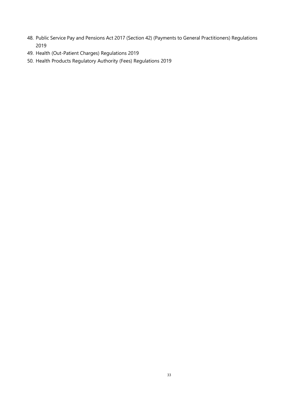- 48. Public Service Pay and Pensions Act 2017 (Section 42) (Payments to General Practitioners) Regulations 2019
- 49. Health (Out-Patient Charges) Regulations 2019
- 50. Health Products Regulatory Authority (Fees) Regulations 2019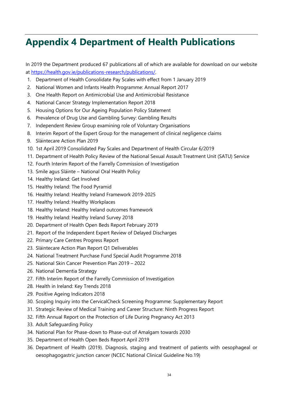## <span id="page-35-0"></span>**Appendix 4 Department of Health Publications**

In 2019 the Department produced 67 publications all of which are available for download on our website at [https://health.gov.ie/publications-research/publications/.](https://health.gov.ie/publications-research/publications/)

- 1. Department of Health Consolidate Pay Scales with effect from 1 January 2019
- 2. [National Women and Infants Health Programme: Annual Report 2017](https://www.gov.ie/en/publication/939cda-national-women-and-infants-health-programme-annual-report-2017/)
- 3. [One Health Report on Antimicrobial Use and Antimicrobial Resistance](https://www.gov.ie/en/publication/98f5bb-one-health-report-on-antimicrobial-use-antimicrobial-resistance/)
- 4. [National Cancer Strategy Implementation Report 2018](https://www.gov.ie/en/publication/f5a768-national-cancer-strategy-implementation-report-2018/)
- 5. [Housing Options for Our Ageing Population Policy Statement](https://www.gov.ie/en/publication/ea33c1-housing-options-for-our-ageing-population-policy-statement/)
- 6. [Prevalence of Drug Use and Gambling Survey: Gambling Results](https://www.gov.ie/en/publication/408a3f-prevalence-of-drug-use-and-gambling-survey-gambling-results/)
- 7. [Independent Review Group examining role of Voluntary Organisations](https://www.gov.ie/en/publication/9b5f87-independent-review-group-examining-role-of-voluntary-organisations/)
- 8. [Interim Report of the Expert Group for the management of clinical negligence claims](https://www.gov.ie/en/publication/cb6299-interim-report-of-the-expert-group-for-the-management-of-clinical-ne/)
- 9. [Sláintecare Action Plan 2019](https://www.gov.ie/en/publication/109e2b-slaintecare-action-plan-2019/)
- 10. [1st April 2019 Consolidated Pay Scales and Department of Health Circular 6/2019](https://www.gov.ie/en/publication/593e81-1st-april-2019-consolidated-pay-scales-and-department-of-health-circ/)
- 11. [Department of Health Policy Review of the National Sexual Assault Treatment Unit \(SATU\) Service](https://www.gov.ie/en/publication/e9ee89-department-of-health-policy-review-of-the-national-sexual-assault-tr/)
- 12. [Fourth Interim Report of the Farrelly Commission of Investigation](https://www.gov.ie/en/publication/d99428-fourth-interim-report-of-the-farrelly-commission-of-investigation/)
- 13. Smile agus Sláinte [National Oral Health Policy](https://www.gov.ie/en/publication/90687b-smile-agus-slainte-national-oral-health-policy/)
- 14. Healthy Ireland: Get Involved
- 15. Healthy Ireland: The Food Pyramid
- 16. Healthy Ireland: [Healthy Ireland Framework 2019-2025](https://www.gov.ie/en/publication/e8f9b1-healthy-ireland-framework-2019-2025/)
- 17. Healthy Ireland: [Healthy Workplaces](https://www.gov.ie/en/publication/93daf8-healthy-workplaces/)
- 18. Healthy Ireland: [Healthy Ireland outcomes framework](https://www.gov.ie/en/publication/030396-healthy-ireland-outcomes-framework/)
- 19. Healthy Ireland: [Healthy Ireland Survey 2018](https://www.gov.ie/en/publication/612079-healthy-ireland-survey-2018/)
- 20. [Department of Health Open Beds Report February 2019](https://www.gov.ie/en/publication/ae176f-department-of-health-open-beds-report-february-2019/)
- 21. [Report of the Independent Expert Review of Delayed Discharges](https://www.gov.ie/en/publication/bb0ac7-report-of-the-independent-expert-review-of-delayed-discharges/)
- 22. [Primary Care Centres Progress Report](https://www.gov.ie/en/publication/35a7c0-primary-care-centres-progress-report/)
- 23. [Sláintecare Action Plan Report Q1 Deliverables](https://www.gov.ie/en/publication/729397-slaintecare-action-plan-report-q1-deliverables/)
- 24. [National Treatment Purchase Fund Special Audit Programme 2018](https://www.gov.ie/en/publication/c20c82-national-treatment-purchase-fund-special-audit-programme-2018/)
- 25. [National Skin Cancer Prevention Plan 2019](https://www.gov.ie/en/publication/4655d6-national-skin-cancer-prevention-plan-2019-2022/)  2022
- 26. [National Dementia Strategy](https://www.gov.ie/en/publication/62d6a5-national-dementia-strategy/)
- 27. [Fifth Interim Report of the Farrelly Commission of Investigation](https://www.gov.ie/en/publication/cd3140-fifth-interim-report-of-the-farrelly-commission-of-investigation/)
- 28. [Health in Ireland: Key Trends 2018](https://www.gov.ie/en/publication/2b3ade-health-in-ireland-key-trends-2018/)
- 29. [Positive Ageing Indicators 2018](https://www.gov.ie/en/publication/0e84e9-positive-ageing-indicators-2018/)
- 30. [Scoping Inquiry into the CervicalCheck Screening Programme: Supplementary Report](https://www.gov.ie/en/publication/9fac6c-scoping-inquiry-into-the-cervicalcheck-screening-programme-supplemen/)
- 31. [Strategic Review of Medical Training and Career Structure: Ninth Progress Report](https://www.gov.ie/en/publication/572ede-strategic-review-of-medical-training-and-career-structure-ninth-prog/)
- 32. [Fifth Annual Report on the Protection of Life During Pregnancy Act 2013](https://www.gov.ie/en/publication/d65673-fifth-annual-report-on-the-protection-of-life-during-pregnancy-act-2/)
- 33. Adult Safeguarding Policy
- 34. National Plan for Phase-down [to Phase-out of Amalgam towards 2030](https://www.gov.ie/en/publication/7bf771-national-plan-for-phase-down-to-phase-out-of-amalgam-towards-2030/)
- 35. [Department of Health Open Beds Report April 2019](https://www.gov.ie/en/publication/e23039-department-of-health-open-beds-report-april-2019/)
- 36. Department of Health (2019). Diagnosis, staging and treatment of patients with oesophageal or oesophagogastric junction cancer (NCEC National Clinical Guideline No.19)